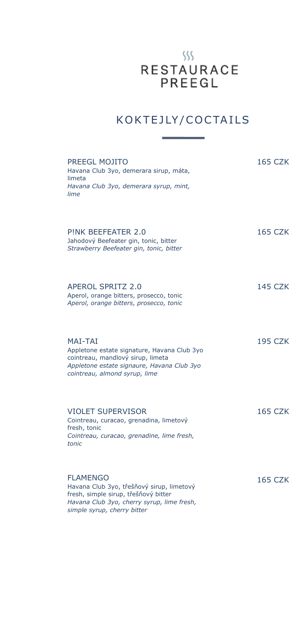## $\S\$ RESTAURACE<br>PREEGL

### K OK TEJLY / COCTAILS

| PREEGL MOJITO<br>Havana Club 3yo, demerara sirup, máta,<br>limeta<br>Havana Club 3yo, demerara syrup, mint,<br>lime                                                               | 165 CZK        |
|-----------------------------------------------------------------------------------------------------------------------------------------------------------------------------------|----------------|
| PINK BEEFFATER 2.0<br>Jahodový Beefeater gin, tonic, bitter<br>Strawberry Beefeater gin, tonic, bitter                                                                            | 165 CZK        |
| <b>APEROL SPRITZ 2.0</b><br>Aperol, orange bitters, prosecco, tonic<br>Aperol, orange bitters, prosecco, tonic                                                                    | 145 CZK        |
| <b>MAI-TAI</b><br>Appletone estate signature, Havana Club 3yo<br>cointreau, mandlový sirup, limeta<br>Appletone estate signaure, Havana Club 3yo<br>cointreau, almond syrup, lime | <b>195 CZK</b> |
| VIOLET SUPERVISOR<br>Cointreau, curacao, grenadina, limetový<br>fresh, tonic<br>Cointreau, curacao, grenadine, lime fresh,<br>tonic                                               | 165 CZK        |
| <b>FLAMENGO</b><br>Havana Club 3yo, třešňový sirup, limetový<br>fresh, simple sirup, třešňový bitter<br>Havana Club 3yo, cherry syrup, lime fresh,<br>simple syrup, cherry bitter | <b>165 CZK</b> |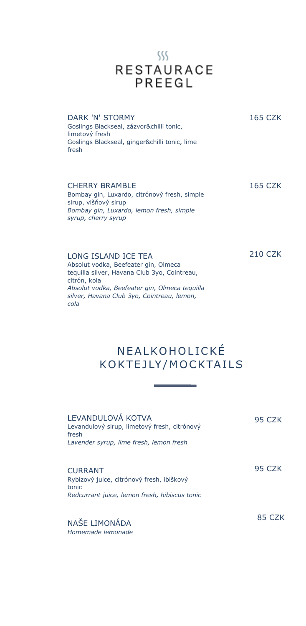

#### DARK 'N' STORMY

165 CZK

Goslings Blackseal, zázvor&chilli tonic, limetový fresh Goslings Blackseal, ginger&chilli tonic, lime fresh

CHERRY BRAMBLE Bombay gin, Luxardo, citrónový fresh, simple sirup, višňový sirup *Bombay gin, Luxardo, lemon fresh, simple syrup, cherry syrup* 165 CZK

LONG ISLAND ICE TEA Absolut vodka, Beefeater gin, Olmeca tequilla silver, Havana Club 3yo, Cointreau, citrón, kola *Absolut vodka, Beefeater gin, Olmeca tequilla silver, Havana Club 3yo, Cointreau, lemon, cola* 210 CZK

> **NEALKOHOLICKÉ** K OK TEJLY / MOCK TAILS

| LEVANDULOVÁ KOTVA<br>Levandulový sirup, limetový fresh, citrónový<br>fresh<br>Lavender syrup, lime fresh, lemon fresh | 95 CZK |
|-----------------------------------------------------------------------------------------------------------------------|--------|
| <b>CURRANT</b><br>Rybízový juice, citrónový fresh, ibiškový<br>tonic<br>Redcurrant juice, lemon fresh, hibiscus tonic | 95 CZK |
| NAŠE LIMONÁDA<br>Homemade lemonade                                                                                    | 85 CZK |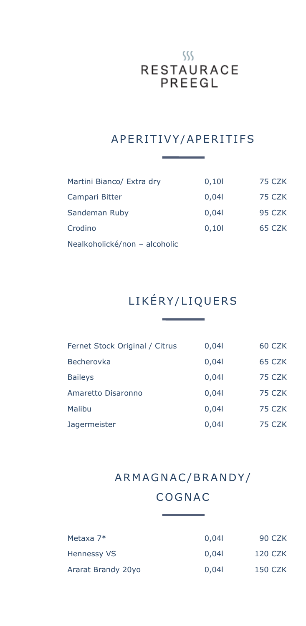## $\left\langle \right\rangle \left\langle \right\rangle$ RESTAURACE<br>PREEGL

#### A PERITIVY/A PERITIFS

| Martini Bianco/ Extra dry     | 0,101 | 75 CZK |
|-------------------------------|-------|--------|
| Campari Bitter                | 0,041 | 75 CZK |
| Sandeman Ruby                 | 0,041 | 95 CZK |
| Crodino                       | 0,101 | 65 CZK |
| Nealkoholické/non - alcoholic |       |        |

### LIKÉRY/LIQUERS

| 0,041 | 60 CZK |
|-------|--------|
| 0,041 | 65 CZK |
| 0,041 | 75 CZK |
| 0,041 | 75 CZK |
| 0,041 | 75 CZK |
| 0,041 | 75 CZK |
|       |        |

#### A RM A G N AC / BR A N D Y /

#### **COGNAC**

| Metaxa 7*          | 0.041 | 90 CZK  |
|--------------------|-------|---------|
| <b>Hennessy VS</b> | 0.041 | 120 CZK |
| Ararat Brandy 20yo | 0.041 | 150 CZK |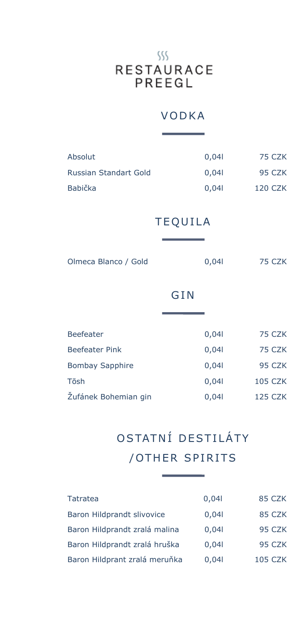## $\frac{1}{2}$ RESTAURACE<br>PREEGL

#### **VODKA**

| Absolut                | 0,041          | <b>75 CZK</b>  |
|------------------------|----------------|----------------|
| Russian Standart Gold  | 0,041          | 95 CZK         |
| <b>Babička</b>         | 0,041          | <b>120 CZK</b> |
|                        | <b>TEQUILA</b> |                |
|                        |                |                |
| Olmeca Blanco / Gold   | 0,041          | 75 CZK         |
|                        | GIN            |                |
|                        |                |                |
| <b>Beefeater</b>       | 0,041          | 75 CZK         |
| <b>Beefeater Pink</b>  | 0,041          | 75 CZK         |
| <b>Bombay Sapphire</b> | 0,041          | 95 CZK         |
| Tōsh                   | 0,041          | <b>105 CZK</b> |
| Žufánek Bohemian gin   | 0,041          | <b>125 CZK</b> |

### O STATNÍ DE STILÁTY /OTHER SPIRITS

| Tatratea                      | 0,041 | 85 CZK         |
|-------------------------------|-------|----------------|
| Baron Hildprandt slivovice    | 0,041 | 85 CZK         |
| Baron Hildprandt zralá malina | 0,041 | 95 CZK         |
| Baron Hildprandt zralá hruška | 0,041 | 95 CZK         |
| Baron Hildprant zralá meruňka | 0,041 | <b>105 CZK</b> |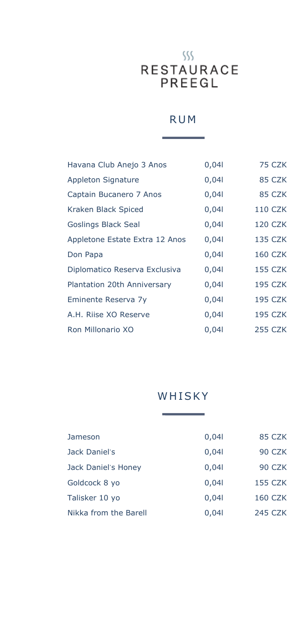# $\left\langle \right\rangle \left\langle \right\rangle$ RESTAURACE<br>PREEGL

#### **RUM**

| Havana Club Anejo 3 Anos       | 0,041 | 75 CZK         |
|--------------------------------|-------|----------------|
| <b>Appleton Signature</b>      | 0,041 | 85 CZK         |
| Captain Bucanero 7 Anos        | 0,041 | 85 CZK         |
| Kraken Black Spiced            | 0,041 | <b>110 CZK</b> |
| <b>Goslings Black Seal</b>     | 0,041 | <b>120 CZK</b> |
| Appletone Estate Extra 12 Anos | 0,041 | <b>135 CZK</b> |
| Don Papa                       | 0,041 | <b>160 CZK</b> |
| Diplomatico Reserva Exclusiva  | 0,041 | <b>155 CZK</b> |
| Plantation 20th Anniversary    | 0,041 | <b>195 CZK</b> |
| Eminente Reserva 7y            | 0,041 | <b>195 CZK</b> |
| A.H. Riise XO Reserve          | 0,041 | <b>195 CZK</b> |
| Ron Millonario XO              | 0,041 | 255 CZK        |

#### WHISKY

| Jameson               | 0,041 | 85 CZK         |
|-----------------------|-------|----------------|
| Jack Daniel's         | 0,041 | <b>90 CZK</b>  |
| Jack Daniel's Honey   | 0,041 | 90 CZK         |
| Goldcock 8 yo         | 0,041 | <b>155 CZK</b> |
| Talisker 10 yo        | 0,041 | <b>160 CZK</b> |
| Nikka from the Barell | 0,041 | 245 CZK        |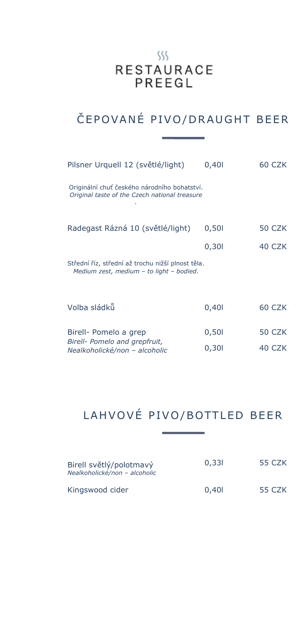## $ss$ RESTAURACE<br>PREEGL

### ČEPOVANÉ PIVO/DRAUGHT BEER

| Pilsner Urquell 12 (světlé/light)                                                             | 0,401 | 60 CZK        |
|-----------------------------------------------------------------------------------------------|-------|---------------|
| Originální chuť českého národního bohatství.<br>Original taste of the Czech national treasure |       |               |
| Radegast Rázná 10 (světlé/light)                                                              | 0,501 | <b>50 CZK</b> |
|                                                                                               | 0,301 | 40 CZK        |
| Střední říz, střední až trochu nižší plnost těla.<br>Medium zest, medium - to light - bodied. |       |               |
| Volba sládků                                                                                  | 0,401 | 60 CZK        |
| Birell- Pomelo a grep<br>Birell- Pomelo and grepfruit,                                        | 0,501 | 50 CZK        |

### LAHVOVÉ PIVO/BOTTLED BEER

0,30l

40 CZK

*Nealkoholické/non – alcoholic*

| Birell světlý/polotmavý<br>Nealkoholické/non - alcoholic | 0.331 | 55 CZK |  |
|----------------------------------------------------------|-------|--------|--|
| Kingswood cider                                          | 0.401 | 55 CZK |  |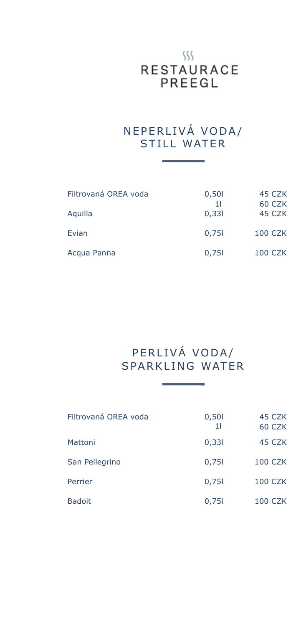#### $555$ **RESTAURACE** PREEGL

#### N E P E R L I VÁ VODA/ STILL WATER

| Filtrovaná OREA voda | 0,501       | 45 CZK           |
|----------------------|-------------|------------------|
| Aquilla              | 11<br>0,331 | 60 CZK<br>45 CZK |
| Evian                | 0,751       | <b>100 CZK</b>   |
| Acqua Panna          | 0,751       | <b>100 CZK</b>   |

#### PERLIVÁ VODA/ SPARKLING WATER

| Filtrovaná OREA voda | 0,501<br>11 | 45 CZK<br>60 CZK |
|----------------------|-------------|------------------|
| Mattoni              | 0,331       | 45 CZK           |
| San Pellegrino       | 0,751       | <b>100 CZK</b>   |
| Perrier              | 0,751       | <b>100 CZK</b>   |
| <b>Badoit</b>        | 0,751       | <b>100 CZK</b>   |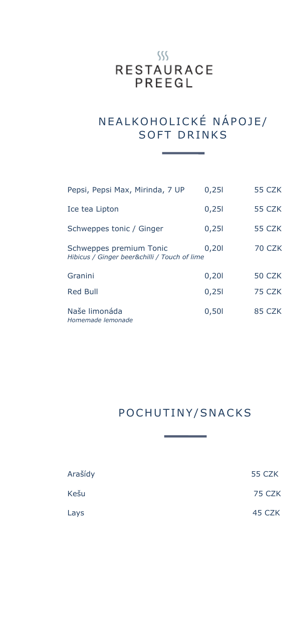#### $ss$ **RESTAURACE** PREEGL

#### N E A L KO HOLICKÉ NÁPOJE/ SOFT DRINKS

| Pepsi, Pepsi Max, Mirinda, 7 UP                                         | 0,251 | 55 CZK        |
|-------------------------------------------------------------------------|-------|---------------|
| Ice tea Lipton                                                          | 0,251 | 55 CZK        |
| Schweppes tonic / Ginger                                                | 0,251 | 55 CZK        |
| Schweppes premium Tonic<br>Hibicus / Ginger beer&chilli / Touch of lime | 0,201 | <b>70 CZK</b> |
| Granini                                                                 | 0,201 | 50 CZK        |
| <b>Red Bull</b>                                                         | 0,251 | 75 CZK        |
| Naše limonáda<br>Homemade lemonade                                      | 0,501 | 85 CZK        |

#### POCHUTINY/SNACKS

| Arašídy | <b>55 CZK</b> |
|---------|---------------|
| Kešu    | 75 CZK        |
| Lays    | 45 CZK        |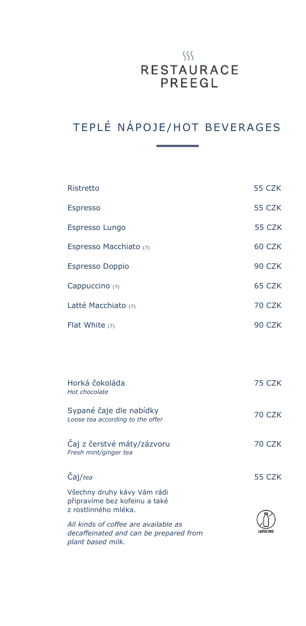## $555$ RESTAURACE<br>PREEGL

### TEPLÉ NÁPOJE/HOT BEVERAGES

| Ristretto                                                                                           | <b>55 CZK</b> |
|-----------------------------------------------------------------------------------------------------|---------------|
| <b>Espresso</b>                                                                                     | <b>55 CZK</b> |
| Espresso Lungo                                                                                      | 55 CZK        |
| Espresso Macchiato (7)                                                                              | 60 CZK        |
| <b>Espresso Doppio</b>                                                                              | 90 CZK        |
| Cappuccino (7)                                                                                      | 65 CZK        |
| Latté Macchiato (7)                                                                                 | <b>70 CZK</b> |
| Flat White $(7)$                                                                                    | 90 CZK        |
|                                                                                                     |               |
| Horká čokoláda<br>Hot chocolate                                                                     | 75 CZK        |
| Sypané čaje dle nabídky<br>Loose tea according to the offer                                         | <b>70 CZK</b> |
| Čaj z čerstvé máty/zázvoru<br>Fresh mint/ginger tea                                                 | <b>70 CZK</b> |
| Čaj/tea                                                                                             | <b>55 CZK</b> |
| Všechny druhy kávy Vám rádi<br>připravíme bez kofeinu a také<br>z rostlinného mléka.                |               |
| All kinds of coffee are available as<br>decaffeinated and can be prepared from<br>plant based milk. |               |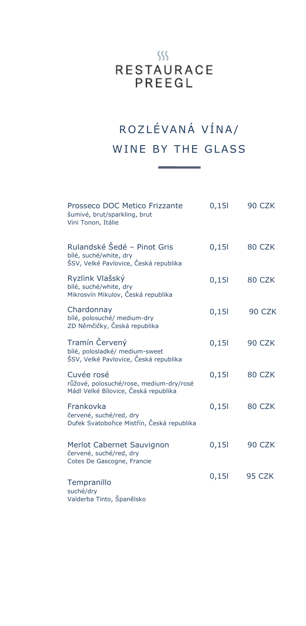## $ss$ RESTAURACE<br>PREEGL

### ROZLÉVANÁ VÍNA/ WINE BY THE GLASS

| Prosseco DOC Metico Frizzante<br>šumivé, brut/sparkling, brut<br>Vini Tonon, Itálie            | 0,151 | 90 CZK        |
|------------------------------------------------------------------------------------------------|-------|---------------|
| Rulandské Šedé - Pinot Gris<br>bílé, suché/white, dry<br>ŠSV, Velké Pavlovice, Česká republika | 0,151 | 80 CZK        |
| Ryzlink Vlašský<br>bílé, suché/white, dry<br>Mikrosvín Mikulov, Česká republika                | 0,151 | 80 CZK        |
| Chardonnay<br>bílé, polosuché/ medium-dry<br>ZD Němčičky, Česká republika                      | 0,151 | 90 CZK        |
| Tramín Červený<br>bílé, polosladké/ medium-sweet<br>ŠSV, Velké Pavlovice, Česká republika      | 0,151 | 90 CZK        |
| Cuvée rosé<br>růžové, polosuché/rose, medium-dry/rosé<br>Mádl Velké Bílovice, Česká republika  | 0,151 | 80 CZK        |
| Frankovka<br>červené, suché/red, dry<br>Dufek Svatobořice Mistřín, Česká republika             | 0,151 | 80 CZK        |
| Merlot Cabernet Sauvignon<br>červené, suché/red, dry<br>Cotes De Gascogne, Francie             | 0,151 | <b>90 CZK</b> |
| Tempranillo<br>suché/dry<br>Valderba Tinto, Španělsko                                          | 0,151 | 95 CZK        |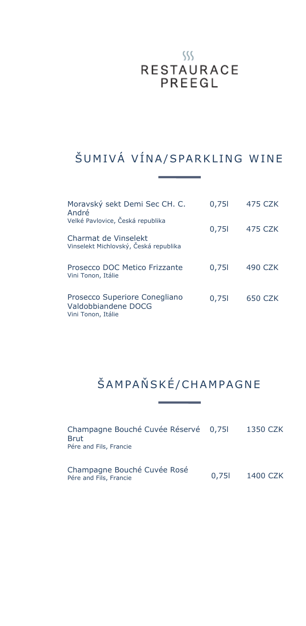## $ss$ RESTAURACE<br>PREEGL

### ŠUMIVÁ VÍNA/SPARKLING WINE

| Moravský sekt Demi Sec CH. C.<br>André                                     | 0,751 | 475 CZK |
|----------------------------------------------------------------------------|-------|---------|
| Velké Pavlovice, Česká republika                                           | 0,751 | 475 CZK |
| Charmat de Vinselekt<br>Vinselekt Michlovský, Česká republika              |       |         |
| Prosecco DOC Metico Frizzante<br>Vini Tonon, Itálie                        | 0,751 | 490 CZK |
| Prosecco Superiore Conegliano<br>Valdobbiandene DOCG<br>Vini Tonon, Itálie | 0,751 | 650 CZK |

### ŠAM PAŇ SKÉ/CHAM PAGNE

| Champagne Bouché Cuvée Réservé 0,751<br><b>Brut</b><br>Pére and Fils, Francie |       | 1350 CZK |
|-------------------------------------------------------------------------------|-------|----------|
| Champagne Bouché Cuvée Rosé<br>Pére and Fils, Francie                         | 0.751 | 1400 CZK |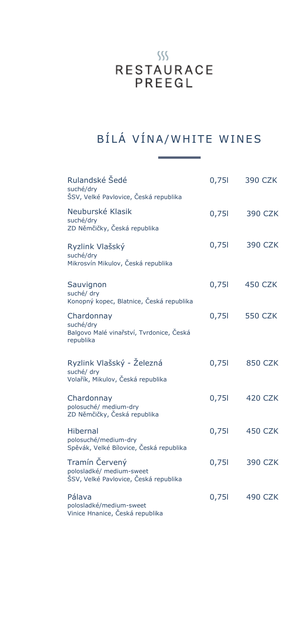## $\frac{1}{2}$ RESTAURACE<br>PREEGL

### BÍLÁ VÍNA/WHITE WINES

| Rulandské Šedé<br>suché/dry<br>ŠSV, Velké Pavlovice, Česká republika                | 0,751 | 390 CZK        |
|-------------------------------------------------------------------------------------|-------|----------------|
| Neuburské Klasik<br>suché/dry<br>ZD Němčičky, Česká republika                       | 0,751 | <b>390 CZK</b> |
| Ryzlink Vlašský<br>suché/dry<br>Mikrosvín Mikulov, Česká republika                  | 0,751 | <b>390 CZK</b> |
| Sauvignon<br>suché/ dry<br>Konopný kopec, Blatnice, Česká republika                 | 0,751 | <b>450 CZK</b> |
| Chardonnay<br>suché/dry<br>Balgovo Malé vinařství, Tvrdonice, Česká<br>republika    | 0,751 | <b>550 CZK</b> |
| Ryzlink Vlašský - Železná<br>suché/ dry<br>Volařík, Mikulov, Česká republika        | 0,751 | <b>850 CZK</b> |
| Chardonnay<br>polosuché/ medium-dry<br>ZD Němčičky, Česká republika                 | 0,751 | 420 CZK        |
| Hibernal<br>polosuché/medium-dry<br>Spěvák, Velké Bílovice, Česká republika         | 0,751 | <b>450 CZK</b> |
| Tramín Červený<br>polosladké/ medium-sweet<br>ŠSV, Velké Pavlovice, Česká republika | 0,751 | <b>390 CZK</b> |
| Pálava<br>polosladké/medium-sweet<br>Vinice Hnanice, Česká republika                | 0,751 | <b>490 CZK</b> |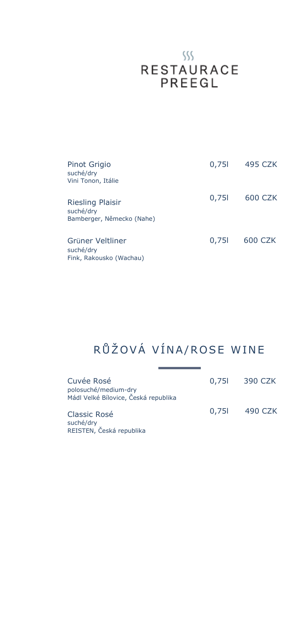# $\S\$ RESTAURACE<br>PREEGL

| Pinot Grigio<br>suché/dry<br>Vini Tonon, Itálie                   | 0,751 | 495 CZK |
|-------------------------------------------------------------------|-------|---------|
| <b>Riesling Plaisir</b><br>suché/dry<br>Bamberger, Německo (Nahe) | 0,751 | 600 CZK |
| Grüner Veltliner<br>suché/dry<br>Fink, Rakousko (Wachau)          | 0,751 | 600 CZK |

## RŮŽOVÁ VÍNA/ROSE WINE

| Cuvée Rosé<br>polosuché/medium-dry<br>Mádl Velké Bílovice, Česká republika |       | 0,75 390 CZK |
|----------------------------------------------------------------------------|-------|--------------|
| Classic Rosé<br>suché/dry<br>REISTEN, Česká republika                      | 0.751 | 490 CZK      |